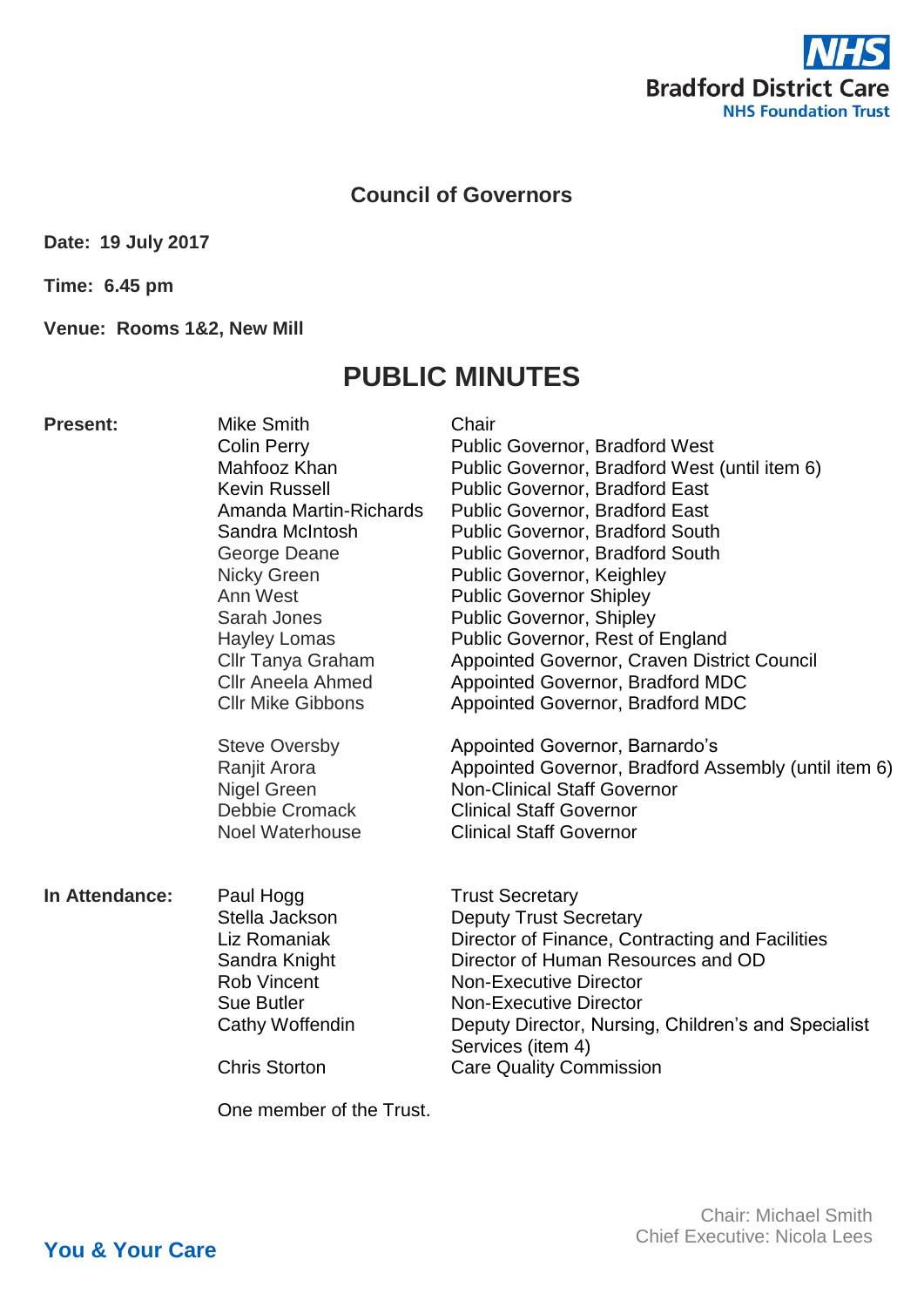

## **Council of Governors**

**Date: 19 July 2017**

**Time: 6.45 pm**

**Venue: Rooms 1&2, New Mill**

## **PUBLIC MINUTES**

| <b>Present:</b> | Mike Smith<br><b>Colin Perry</b><br>Mahfooz Khan<br>Kevin Russell<br>Amanda Martin-Richards<br>Sandra McIntosh<br>George Deane<br><b>Nicky Green</b><br>Ann West<br>Sarah Jones<br>Hayley Lomas<br><b>Cllr Tanya Graham</b><br><b>Cllr Aneela Ahmed</b><br><b>Cllr Mike Gibbons</b> | Chair<br><b>Public Governor, Bradford West</b><br>Public Governor, Bradford West (until item 6)<br><b>Public Governor, Bradford East</b><br><b>Public Governor, Bradford East</b><br><b>Public Governor, Bradford South</b><br><b>Public Governor, Bradford South</b><br><b>Public Governor, Keighley</b><br><b>Public Governor Shipley</b><br><b>Public Governor, Shipley</b><br>Public Governor, Rest of England<br>Appointed Governor, Craven District Council<br>Appointed Governor, Bradford MDC<br>Appointed Governor, Bradford MDC |
|-----------------|-------------------------------------------------------------------------------------------------------------------------------------------------------------------------------------------------------------------------------------------------------------------------------------|-------------------------------------------------------------------------------------------------------------------------------------------------------------------------------------------------------------------------------------------------------------------------------------------------------------------------------------------------------------------------------------------------------------------------------------------------------------------------------------------------------------------------------------------|
|                 | <b>Steve Oversby</b><br>Ranjit Arora<br>Nigel Green<br><b>Debbie Cromack</b><br><b>Noel Waterhouse</b>                                                                                                                                                                              | Appointed Governor, Barnardo's<br>Appointed Governor, Bradford Assembly (until item 6)<br><b>Non-Clinical Staff Governor</b><br><b>Clinical Staff Governor</b><br><b>Clinical Staff Governor</b>                                                                                                                                                                                                                                                                                                                                          |
| In Attendance:  | Paul Hogg<br>Stella Jackson<br>Liz Romaniak<br>Sandra Knight<br><b>Rob Vincent</b><br><b>Sue Butler</b><br>Cathy Woffendin<br><b>Chris Storton</b>                                                                                                                                  | <b>Trust Secretary</b><br><b>Deputy Trust Secretary</b><br>Director of Finance, Contracting and Facilities<br>Director of Human Resources and OD<br><b>Non-Executive Director</b><br><b>Non-Executive Director</b><br>Deputy Director, Nursing, Children's and Specialist<br>Services (item 4)<br><b>Care Quality Commission</b>                                                                                                                                                                                                          |

One member of the Trust.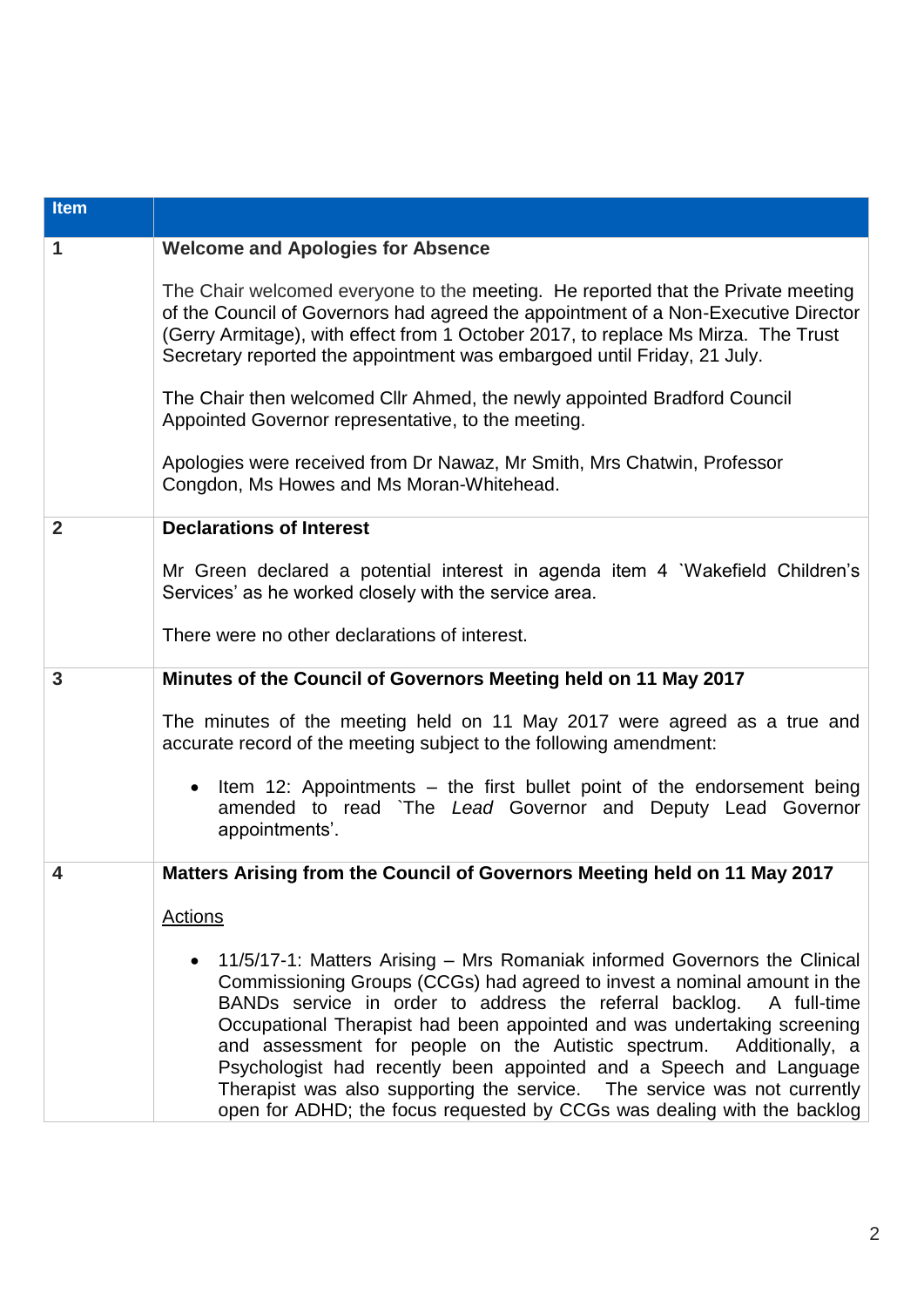| <b>Item</b>  |                                                                                                                                                                                                                                                                                                                                                                                                                                                                                                                                                                                                                           |  |  |  |
|--------------|---------------------------------------------------------------------------------------------------------------------------------------------------------------------------------------------------------------------------------------------------------------------------------------------------------------------------------------------------------------------------------------------------------------------------------------------------------------------------------------------------------------------------------------------------------------------------------------------------------------------------|--|--|--|
| $\mathbf 1$  | <b>Welcome and Apologies for Absence</b>                                                                                                                                                                                                                                                                                                                                                                                                                                                                                                                                                                                  |  |  |  |
|              | The Chair welcomed everyone to the meeting. He reported that the Private meeting<br>of the Council of Governors had agreed the appointment of a Non-Executive Director<br>(Gerry Armitage), with effect from 1 October 2017, to replace Ms Mirza. The Trust<br>Secretary reported the appointment was embargoed until Friday, 21 July.                                                                                                                                                                                                                                                                                    |  |  |  |
|              | The Chair then welcomed Cllr Ahmed, the newly appointed Bradford Council<br>Appointed Governor representative, to the meeting.                                                                                                                                                                                                                                                                                                                                                                                                                                                                                            |  |  |  |
|              | Apologies were received from Dr Nawaz, Mr Smith, Mrs Chatwin, Professor<br>Congdon, Ms Howes and Ms Moran-Whitehead.                                                                                                                                                                                                                                                                                                                                                                                                                                                                                                      |  |  |  |
| $\mathbf{2}$ | <b>Declarations of Interest</b>                                                                                                                                                                                                                                                                                                                                                                                                                                                                                                                                                                                           |  |  |  |
|              | Mr Green declared a potential interest in agenda item 4 'Wakefield Children's<br>Services' as he worked closely with the service area.                                                                                                                                                                                                                                                                                                                                                                                                                                                                                    |  |  |  |
|              | There were no other declarations of interest.                                                                                                                                                                                                                                                                                                                                                                                                                                                                                                                                                                             |  |  |  |
| 3            | Minutes of the Council of Governors Meeting held on 11 May 2017                                                                                                                                                                                                                                                                                                                                                                                                                                                                                                                                                           |  |  |  |
|              | The minutes of the meeting held on 11 May 2017 were agreed as a true and<br>accurate record of the meeting subject to the following amendment:                                                                                                                                                                                                                                                                                                                                                                                                                                                                            |  |  |  |
|              | Item 12: Appointments – the first bullet point of the endorsement being<br>$\bullet$<br>amended to read `The Lead Governor and Deputy Lead Governor<br>appointments'.                                                                                                                                                                                                                                                                                                                                                                                                                                                     |  |  |  |
| 4            | Matters Arising from the Council of Governors Meeting held on 11 May 2017                                                                                                                                                                                                                                                                                                                                                                                                                                                                                                                                                 |  |  |  |
|              | Actions                                                                                                                                                                                                                                                                                                                                                                                                                                                                                                                                                                                                                   |  |  |  |
|              | 11/5/17-1: Matters Arising – Mrs Romaniak informed Governors the Clinical<br>$\bullet$<br>Commissioning Groups (CCGs) had agreed to invest a nominal amount in the<br>BANDs service in order to address the referral backlog. A full-time<br>Occupational Therapist had been appointed and was undertaking screening<br>and assessment for people on the Autistic spectrum. Additionally, a<br>Psychologist had recently been appointed and a Speech and Language<br>Therapist was also supporting the service.  The service was not currently<br>open for ADHD; the focus requested by CCGs was dealing with the backlog |  |  |  |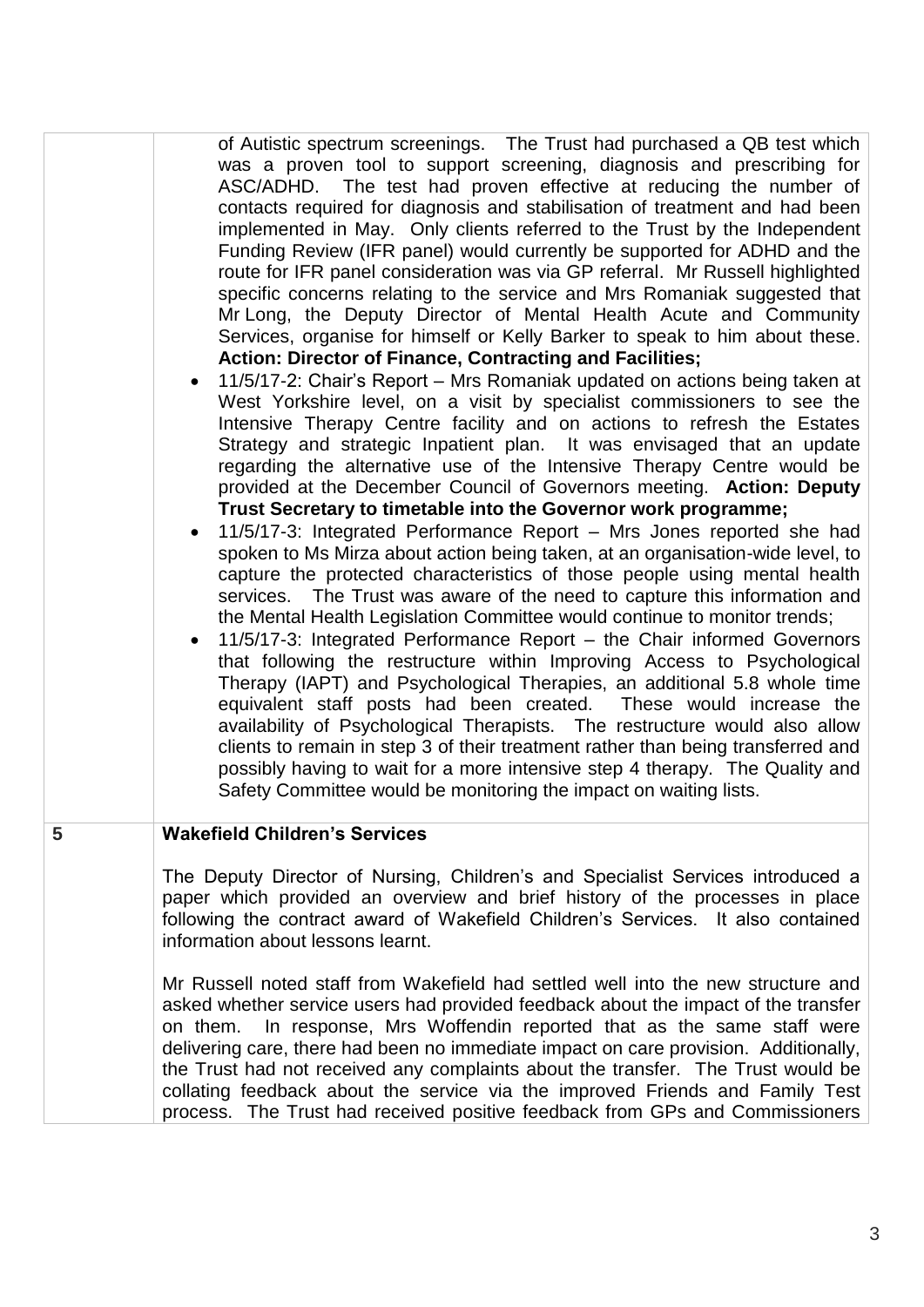|   | of Autistic spectrum screenings. The Trust had purchased a QB test which<br>was a proven tool to support screening, diagnosis and prescribing for<br>ASC/ADHD. The test had proven effective at reducing the number of<br>contacts required for diagnosis and stabilisation of treatment and had been<br>implemented in May. Only clients referred to the Trust by the Independent<br>Funding Review (IFR panel) would currently be supported for ADHD and the<br>route for IFR panel consideration was via GP referral. Mr Russell highlighted<br>specific concerns relating to the service and Mrs Romaniak suggested that<br>Mr Long, the Deputy Director of Mental Health Acute and Community<br>Services, organise for himself or Kelly Barker to speak to him about these.<br><b>Action: Director of Finance, Contracting and Facilities;</b><br>11/5/17-2: Chair's Report - Mrs Romaniak updated on actions being taken at<br>West Yorkshire level, on a visit by specialist commissioners to see the<br>Intensive Therapy Centre facility and on actions to refresh the Estates<br>Strategy and strategic Inpatient plan. It was envisaged that an update<br>regarding the alternative use of the Intensive Therapy Centre would be<br>provided at the December Council of Governors meeting. Action: Deputy<br>Trust Secretary to timetable into the Governor work programme;<br>11/5/17-3: Integrated Performance Report - Mrs Jones reported she had<br>spoken to Ms Mirza about action being taken, at an organisation-wide level, to<br>capture the protected characteristics of those people using mental health<br>services. The Trust was aware of the need to capture this information and<br>the Mental Health Legislation Committee would continue to monitor trends;<br>11/5/17-3: Integrated Performance Report - the Chair informed Governors<br>that following the restructure within Improving Access to Psychological<br>Therapy (IAPT) and Psychological Therapies, an additional 5.8 whole time<br>equivalent staff posts had been created. These would increase the<br>availability of Psychological Therapists. The restructure would also allow<br>clients to remain in step 3 of their treatment rather than being transferred and<br>possibly having to wait for a more intensive step 4 therapy. The Quality and<br>Safety Committee would be monitoring the impact on waiting lists. |  |  |
|---|------------------------------------------------------------------------------------------------------------------------------------------------------------------------------------------------------------------------------------------------------------------------------------------------------------------------------------------------------------------------------------------------------------------------------------------------------------------------------------------------------------------------------------------------------------------------------------------------------------------------------------------------------------------------------------------------------------------------------------------------------------------------------------------------------------------------------------------------------------------------------------------------------------------------------------------------------------------------------------------------------------------------------------------------------------------------------------------------------------------------------------------------------------------------------------------------------------------------------------------------------------------------------------------------------------------------------------------------------------------------------------------------------------------------------------------------------------------------------------------------------------------------------------------------------------------------------------------------------------------------------------------------------------------------------------------------------------------------------------------------------------------------------------------------------------------------------------------------------------------------------------------------------------------------------------------------------------------------------------------------------------------------------------------------------------------------------------------------------------------------------------------------------------------------------------------------------------------------------------------------------------------------------------------------------------------------------------------------------------------------------------------------------------------------|--|--|
| 5 | <b>Wakefield Children's Services</b>                                                                                                                                                                                                                                                                                                                                                                                                                                                                                                                                                                                                                                                                                                                                                                                                                                                                                                                                                                                                                                                                                                                                                                                                                                                                                                                                                                                                                                                                                                                                                                                                                                                                                                                                                                                                                                                                                                                                                                                                                                                                                                                                                                                                                                                                                                                                                                                   |  |  |
|   | The Deputy Director of Nursing, Children's and Specialist Services introduced a<br>paper which provided an overview and brief history of the processes in place<br>following the contract award of Wakefield Children's Services. It also contained<br>information about lessons learnt.<br>Mr Russell noted staff from Wakefield had settled well into the new structure and                                                                                                                                                                                                                                                                                                                                                                                                                                                                                                                                                                                                                                                                                                                                                                                                                                                                                                                                                                                                                                                                                                                                                                                                                                                                                                                                                                                                                                                                                                                                                                                                                                                                                                                                                                                                                                                                                                                                                                                                                                          |  |  |
|   | asked whether service users had provided feedback about the impact of the transfer<br>In response, Mrs Woffendin reported that as the same staff were<br>on them.<br>delivering care, there had been no immediate impact on care provision. Additionally,<br>the Trust had not received any complaints about the transfer. The Trust would be<br>collating feedback about the service via the improved Friends and Family Test<br>process. The Trust had received positive feedback from GPs and Commissioners                                                                                                                                                                                                                                                                                                                                                                                                                                                                                                                                                                                                                                                                                                                                                                                                                                                                                                                                                                                                                                                                                                                                                                                                                                                                                                                                                                                                                                                                                                                                                                                                                                                                                                                                                                                                                                                                                                         |  |  |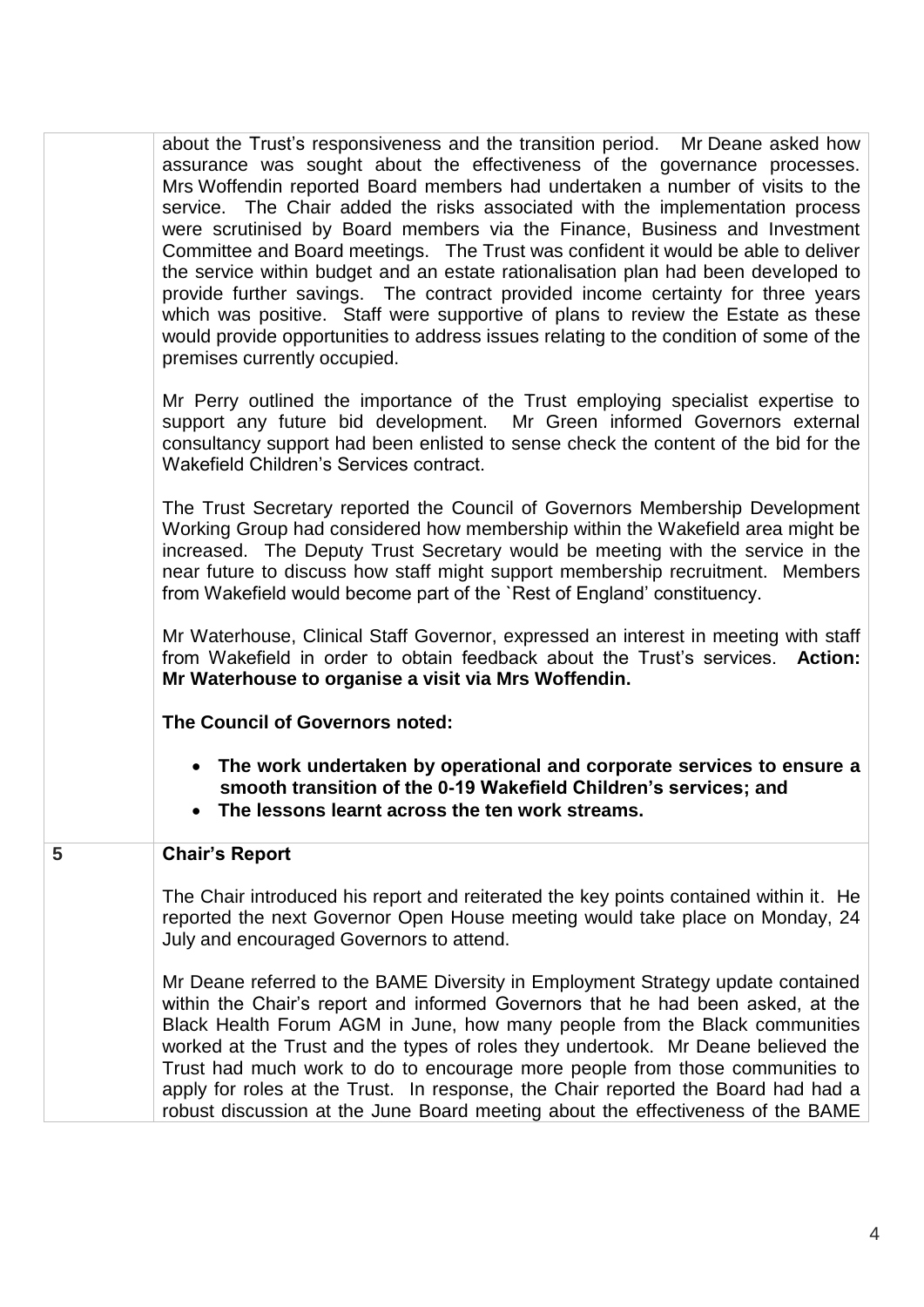|   | about the Trust's responsiveness and the transition period. Mr Deane asked how<br>assurance was sought about the effectiveness of the governance processes.<br>Mrs Woffendin reported Board members had undertaken a number of visits to the<br>service. The Chair added the risks associated with the implementation process<br>were scrutinised by Board members via the Finance, Business and Investment<br>Committee and Board meetings. The Trust was confident it would be able to deliver<br>the service within budget and an estate rationalisation plan had been developed to<br>provide further savings. The contract provided income certainty for three years<br>which was positive. Staff were supportive of plans to review the Estate as these<br>would provide opportunities to address issues relating to the condition of some of the<br>premises currently occupied. |
|---|-----------------------------------------------------------------------------------------------------------------------------------------------------------------------------------------------------------------------------------------------------------------------------------------------------------------------------------------------------------------------------------------------------------------------------------------------------------------------------------------------------------------------------------------------------------------------------------------------------------------------------------------------------------------------------------------------------------------------------------------------------------------------------------------------------------------------------------------------------------------------------------------|
|   | Mr Perry outlined the importance of the Trust employing specialist expertise to<br>support any future bid development. Mr Green informed Governors external<br>consultancy support had been enlisted to sense check the content of the bid for the<br>Wakefield Children's Services contract.                                                                                                                                                                                                                                                                                                                                                                                                                                                                                                                                                                                           |
|   | The Trust Secretary reported the Council of Governors Membership Development<br>Working Group had considered how membership within the Wakefield area might be<br>increased. The Deputy Trust Secretary would be meeting with the service in the<br>near future to discuss how staff might support membership recruitment. Members<br>from Wakefield would become part of the `Rest of England' constituency.                                                                                                                                                                                                                                                                                                                                                                                                                                                                           |
|   | Mr Waterhouse, Clinical Staff Governor, expressed an interest in meeting with staff<br>from Wakefield in order to obtain feedback about the Trust's services. Action:<br>Mr Waterhouse to organise a visit via Mrs Woffendin.                                                                                                                                                                                                                                                                                                                                                                                                                                                                                                                                                                                                                                                           |
|   | The Council of Governors noted:                                                                                                                                                                                                                                                                                                                                                                                                                                                                                                                                                                                                                                                                                                                                                                                                                                                         |
|   | • The work undertaken by operational and corporate services to ensure a<br>smooth transition of the 0-19 Wakefield Children's services; and<br>• The lessons learnt across the ten work streams.                                                                                                                                                                                                                                                                                                                                                                                                                                                                                                                                                                                                                                                                                        |
| 5 | <b>Chair's Report</b>                                                                                                                                                                                                                                                                                                                                                                                                                                                                                                                                                                                                                                                                                                                                                                                                                                                                   |
|   | The Chair introduced his report and reiterated the key points contained within it. He<br>reported the next Governor Open House meeting would take place on Monday, 24<br>July and encouraged Governors to attend.                                                                                                                                                                                                                                                                                                                                                                                                                                                                                                                                                                                                                                                                       |
|   | Mr Deane referred to the BAME Diversity in Employment Strategy update contained<br>within the Chair's report and informed Governors that he had been asked, at the<br>Black Health Forum AGM in June, how many people from the Black communities<br>worked at the Trust and the types of roles they undertook. Mr Deane believed the<br>Trust had much work to do to encourage more people from those communities to<br>apply for roles at the Trust. In response, the Chair reported the Board had had a<br>robust discussion at the June Board meeting about the effectiveness of the BAME                                                                                                                                                                                                                                                                                            |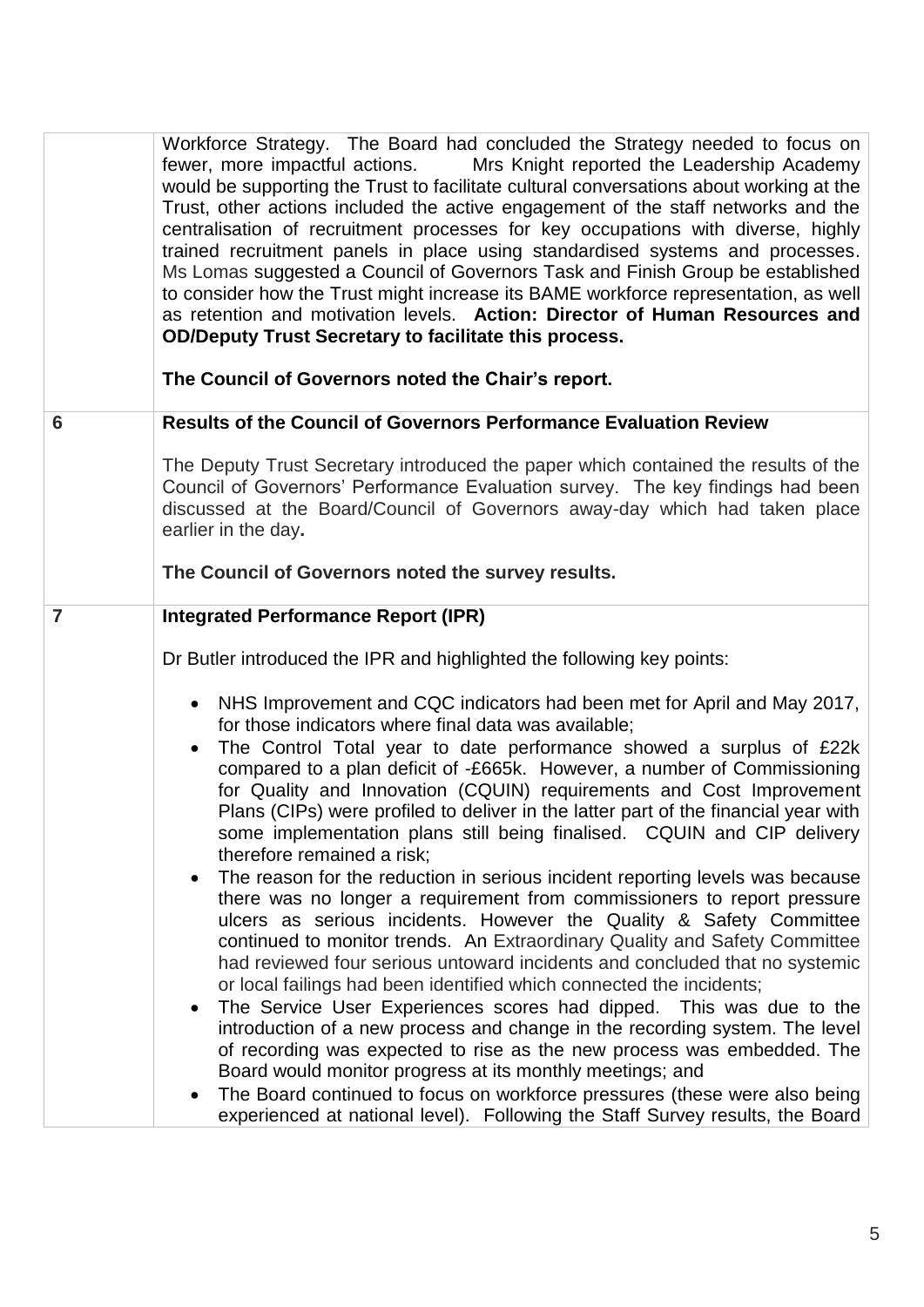|                 | Workforce Strategy. The Board had concluded the Strategy needed to focus on<br>fewer, more impactful actions. Mrs Knight reported the Leadership Academy<br>would be supporting the Trust to facilitate cultural conversations about working at the<br>Trust, other actions included the active engagement of the staff networks and the<br>centralisation of recruitment processes for key occupations with diverse, highly<br>trained recruitment panels in place using standardised systems and processes.<br>Ms Lomas suggested a Council of Governors Task and Finish Group be established<br>to consider how the Trust might increase its BAME workforce representation, as well<br>as retention and motivation levels. Action: Director of Human Resources and<br><b>OD/Deputy Trust Secretary to facilitate this process.</b><br>The Council of Governors noted the Chair's report.                                                                                                                                                                                                                                                                                                                                                                                                                                                                                                                                                                                                                                           |  |  |
|-----------------|---------------------------------------------------------------------------------------------------------------------------------------------------------------------------------------------------------------------------------------------------------------------------------------------------------------------------------------------------------------------------------------------------------------------------------------------------------------------------------------------------------------------------------------------------------------------------------------------------------------------------------------------------------------------------------------------------------------------------------------------------------------------------------------------------------------------------------------------------------------------------------------------------------------------------------------------------------------------------------------------------------------------------------------------------------------------------------------------------------------------------------------------------------------------------------------------------------------------------------------------------------------------------------------------------------------------------------------------------------------------------------------------------------------------------------------------------------------------------------------------------------------------------------------|--|--|
| $6\phantom{1}6$ | <b>Results of the Council of Governors Performance Evaluation Review</b>                                                                                                                                                                                                                                                                                                                                                                                                                                                                                                                                                                                                                                                                                                                                                                                                                                                                                                                                                                                                                                                                                                                                                                                                                                                                                                                                                                                                                                                              |  |  |
|                 | The Deputy Trust Secretary introduced the paper which contained the results of the<br>Council of Governors' Performance Evaluation survey. The key findings had been<br>discussed at the Board/Council of Governors away-day which had taken place<br>earlier in the day.                                                                                                                                                                                                                                                                                                                                                                                                                                                                                                                                                                                                                                                                                                                                                                                                                                                                                                                                                                                                                                                                                                                                                                                                                                                             |  |  |
|                 | The Council of Governors noted the survey results.                                                                                                                                                                                                                                                                                                                                                                                                                                                                                                                                                                                                                                                                                                                                                                                                                                                                                                                                                                                                                                                                                                                                                                                                                                                                                                                                                                                                                                                                                    |  |  |
| $\overline{7}$  | <b>Integrated Performance Report (IPR)</b>                                                                                                                                                                                                                                                                                                                                                                                                                                                                                                                                                                                                                                                                                                                                                                                                                                                                                                                                                                                                                                                                                                                                                                                                                                                                                                                                                                                                                                                                                            |  |  |
|                 | Dr Butler introduced the IPR and highlighted the following key points:                                                                                                                                                                                                                                                                                                                                                                                                                                                                                                                                                                                                                                                                                                                                                                                                                                                                                                                                                                                                                                                                                                                                                                                                                                                                                                                                                                                                                                                                |  |  |
|                 | NHS Improvement and CQC indicators had been met for April and May 2017,<br>$\bullet$<br>for those indicators where final data was available;<br>The Control Total year to date performance showed a surplus of £22k<br>compared to a plan deficit of -£665k. However, a number of Commissioning<br>for Quality and Innovation (CQUIN) requirements and Cost Improvement<br>Plans (CIPs) were profiled to deliver in the latter part of the financial year with<br>some implementation plans still being finalised. CQUIN and CIP delivery<br>therefore remained a risk;<br>The reason for the reduction in serious incident reporting levels was because<br>there was no longer a requirement from commissioners to report pressure<br>ulcers as serious incidents. However the Quality & Safety Committee<br>continued to monitor trends. An Extraordinary Quality and Safety Committee<br>had reviewed four serious untoward incidents and concluded that no systemic<br>or local failings had been identified which connected the incidents;<br>The Service User Experiences scores had dipped. This was due to the<br>$\bullet$<br>introduction of a new process and change in the recording system. The level<br>of recording was expected to rise as the new process was embedded. The<br>Board would monitor progress at its monthly meetings; and<br>The Board continued to focus on workforce pressures (these were also being<br>$\bullet$<br>experienced at national level). Following the Staff Survey results, the Board |  |  |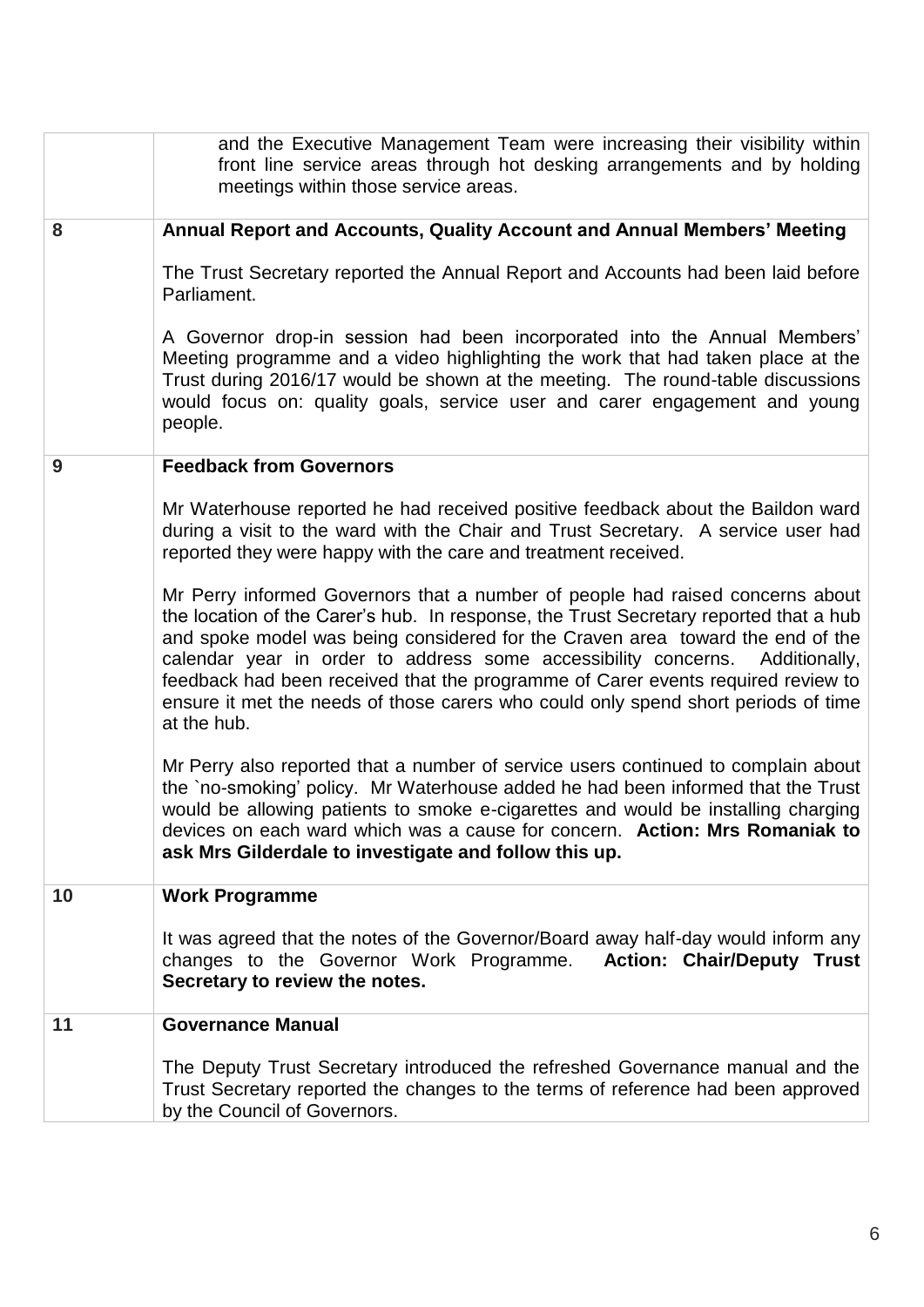|    | and the Executive Management Team were increasing their visibility within<br>front line service areas through hot desking arrangements and by holding<br>meetings within those service areas.                                                                                                                                                                                                                                                                                                                                        |
|----|--------------------------------------------------------------------------------------------------------------------------------------------------------------------------------------------------------------------------------------------------------------------------------------------------------------------------------------------------------------------------------------------------------------------------------------------------------------------------------------------------------------------------------------|
| 8  | Annual Report and Accounts, Quality Account and Annual Members' Meeting                                                                                                                                                                                                                                                                                                                                                                                                                                                              |
|    | The Trust Secretary reported the Annual Report and Accounts had been laid before<br>Parliament.                                                                                                                                                                                                                                                                                                                                                                                                                                      |
|    | A Governor drop-in session had been incorporated into the Annual Members'<br>Meeting programme and a video highlighting the work that had taken place at the<br>Trust during 2016/17 would be shown at the meeting. The round-table discussions<br>would focus on: quality goals, service user and carer engagement and young<br>people.                                                                                                                                                                                             |
| 9  | <b>Feedback from Governors</b>                                                                                                                                                                                                                                                                                                                                                                                                                                                                                                       |
|    | Mr Waterhouse reported he had received positive feedback about the Baildon ward<br>during a visit to the ward with the Chair and Trust Secretary. A service user had<br>reported they were happy with the care and treatment received.                                                                                                                                                                                                                                                                                               |
|    | Mr Perry informed Governors that a number of people had raised concerns about<br>the location of the Carer's hub. In response, the Trust Secretary reported that a hub<br>and spoke model was being considered for the Craven area toward the end of the<br>calendar year in order to address some accessibility concerns.<br>Additionally,<br>feedback had been received that the programme of Carer events required review to<br>ensure it met the needs of those carers who could only spend short periods of time<br>at the hub. |
|    | Mr Perry also reported that a number of service users continued to complain about<br>the `no-smoking' policy. Mr Waterhouse added he had been informed that the Trust<br>would be allowing patients to smoke e-cigarettes and would be installing charging<br>devices on each ward which was a cause for concern. Action: Mrs Romaniak to<br>ask Mrs Gilderdale to investigate and follow this up.                                                                                                                                   |
| 10 | <b>Work Programme</b>                                                                                                                                                                                                                                                                                                                                                                                                                                                                                                                |
|    | It was agreed that the notes of the Governor/Board away half-day would inform any<br>changes to the Governor Work Programme.<br><b>Action: Chair/Deputy Trust</b><br>Secretary to review the notes.                                                                                                                                                                                                                                                                                                                                  |
| 11 | <b>Governance Manual</b>                                                                                                                                                                                                                                                                                                                                                                                                                                                                                                             |
|    | The Deputy Trust Secretary introduced the refreshed Governance manual and the<br>Trust Secretary reported the changes to the terms of reference had been approved<br>by the Council of Governors.                                                                                                                                                                                                                                                                                                                                    |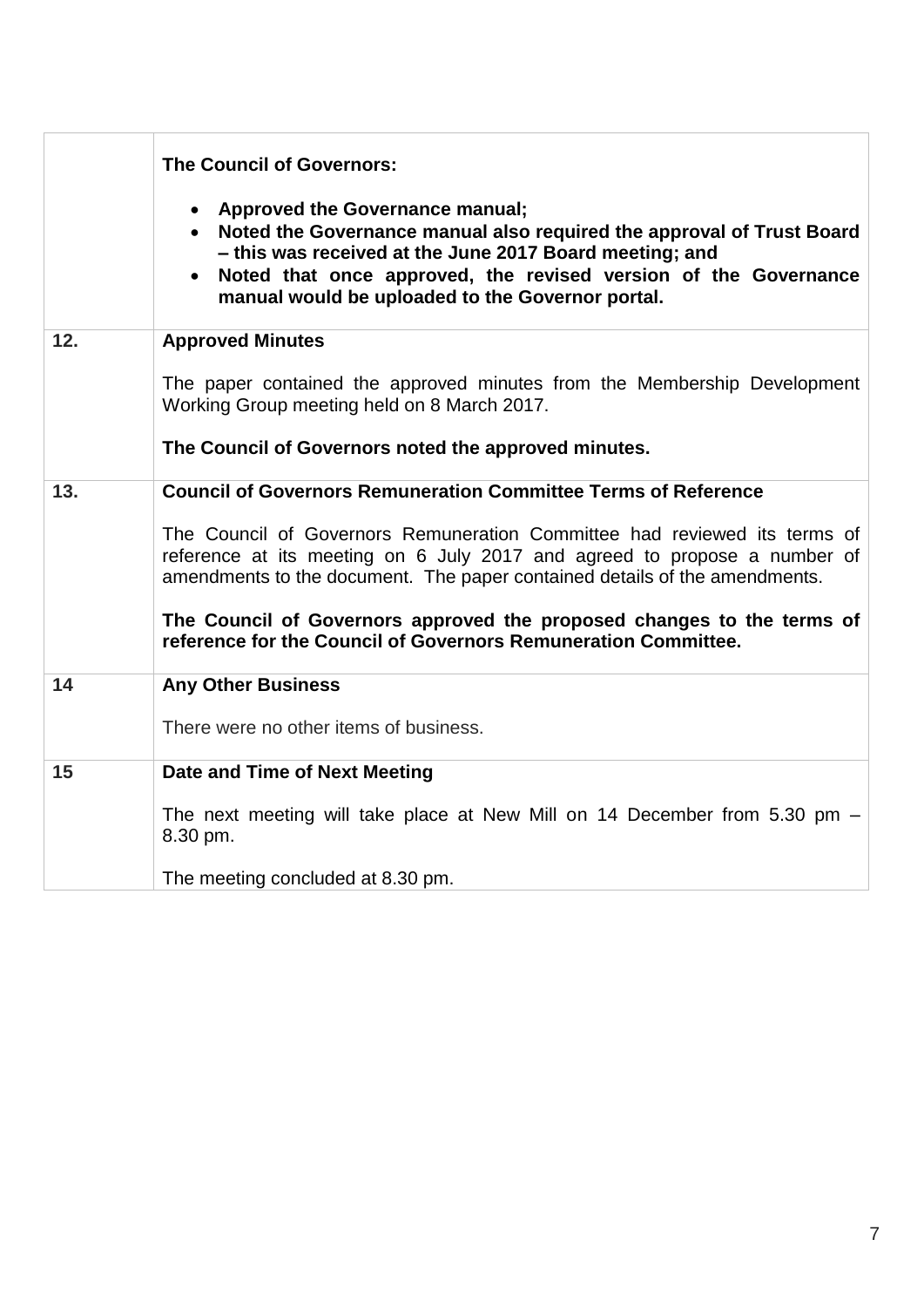|     | <b>The Council of Governors:</b><br>• Approved the Governance manual;<br>Noted the Governance manual also required the approval of Trust Board<br>$\bullet$<br>- this was received at the June 2017 Board meeting; and<br>Noted that once approved, the revised version of the Governance<br>manual would be uploaded to the Governor portal. |
|-----|-----------------------------------------------------------------------------------------------------------------------------------------------------------------------------------------------------------------------------------------------------------------------------------------------------------------------------------------------|
| 12. | <b>Approved Minutes</b>                                                                                                                                                                                                                                                                                                                       |
|     | The paper contained the approved minutes from the Membership Development<br>Working Group meeting held on 8 March 2017.                                                                                                                                                                                                                       |
|     | The Council of Governors noted the approved minutes.                                                                                                                                                                                                                                                                                          |
| 13. | <b>Council of Governors Remuneration Committee Terms of Reference</b>                                                                                                                                                                                                                                                                         |
|     | The Council of Governors Remuneration Committee had reviewed its terms of<br>reference at its meeting on 6 July 2017 and agreed to propose a number of<br>amendments to the document. The paper contained details of the amendments.                                                                                                          |
|     | The Council of Governors approved the proposed changes to the terms of<br>reference for the Council of Governors Remuneration Committee.                                                                                                                                                                                                      |
| 14  | <b>Any Other Business</b>                                                                                                                                                                                                                                                                                                                     |
|     | There were no other items of business.                                                                                                                                                                                                                                                                                                        |
| 15  | Date and Time of Next Meeting                                                                                                                                                                                                                                                                                                                 |
|     | The next meeting will take place at New Mill on 14 December from 5.30 pm $-$<br>8.30 pm.                                                                                                                                                                                                                                                      |
|     | The meeting concluded at 8.30 pm.                                                                                                                                                                                                                                                                                                             |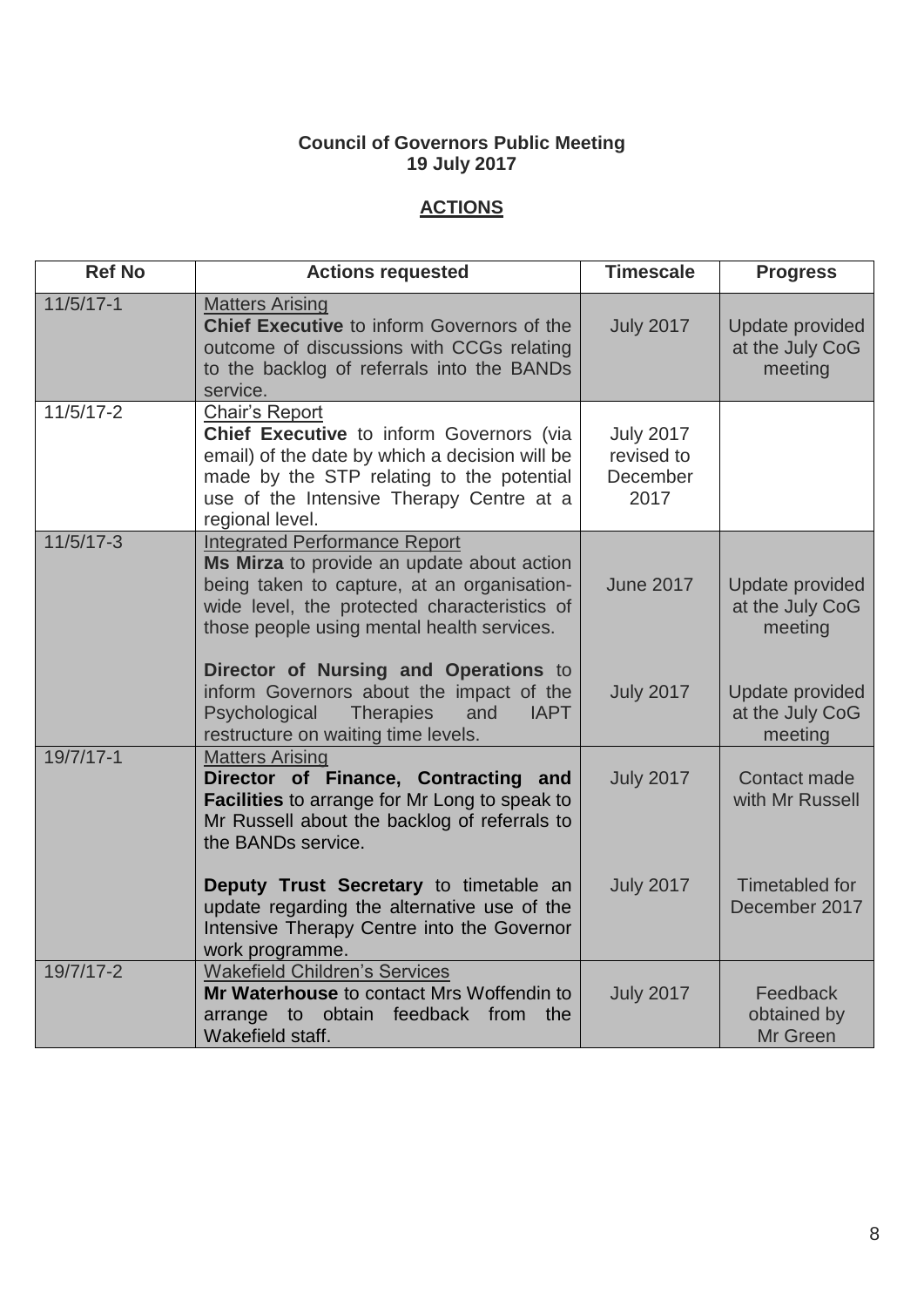## **Council of Governors Public Meeting 19 July 2017**

## **ACTIONS**

| <b>Ref No</b> | <b>Actions requested</b>                                                                                                                                                                                                        | <b>Timescale</b>                                   | <b>Progress</b>                                      |
|---------------|---------------------------------------------------------------------------------------------------------------------------------------------------------------------------------------------------------------------------------|----------------------------------------------------|------------------------------------------------------|
| $11/5/17-1$   | <b>Matters Arising</b><br><b>Chief Executive to inform Governors of the</b><br>outcome of discussions with CCGs relating<br>to the backlog of referrals into the BANDs<br>service.                                              | <b>July 2017</b>                                   | Update provided<br>at the July CoG<br>meeting        |
| $11/5/17 - 2$ | Chair's Report<br>Chief Executive to inform Governors (via<br>email) of the date by which a decision will be<br>made by the STP relating to the potential<br>use of the Intensive Therapy Centre at a<br>regional level.        | <b>July 2017</b><br>revised to<br>December<br>2017 |                                                      |
| $11/5/17-3$   | <b>Integrated Performance Report</b><br>Ms Mirza to provide an update about action<br>being taken to capture, at an organisation-<br>wide level, the protected characteristics of<br>those people using mental health services. | <b>June 2017</b>                                   | Update provided<br>at the July CoG<br>meeting        |
|               | Director of Nursing and Operations to<br>inform Governors about the impact of the<br>Psychological<br>and<br><b>Therapies</b><br><b>IAPT</b><br>restructure on waiting time levels.                                             | <b>July 2017</b>                                   | <b>Update provided</b><br>at the July CoG<br>meeting |
| 19/7/17-1     | <b>Matters Arising</b><br>Director of Finance, Contracting and<br>Facilities to arrange for Mr Long to speak to<br>Mr Russell about the backlog of referrals to<br>the BANDs service.                                           | <b>July 2017</b>                                   | Contact made<br>with Mr Russell                      |
|               | Deputy Trust Secretary to timetable an<br>update regarding the alternative use of the<br>Intensive Therapy Centre into the Governor<br>work programme.                                                                          | <b>July 2017</b>                                   | Timetabled for<br>December 2017                      |
| 19/7/17-2     | <b>Wakefield Children's Services</b><br>Mr Waterhouse to contact Mrs Woffendin to<br>obtain feedback<br>to<br>from<br>the<br>arrange<br>Wakefield staff.                                                                        | <b>July 2017</b>                                   | Feedback<br>obtained by<br>Mr Green                  |